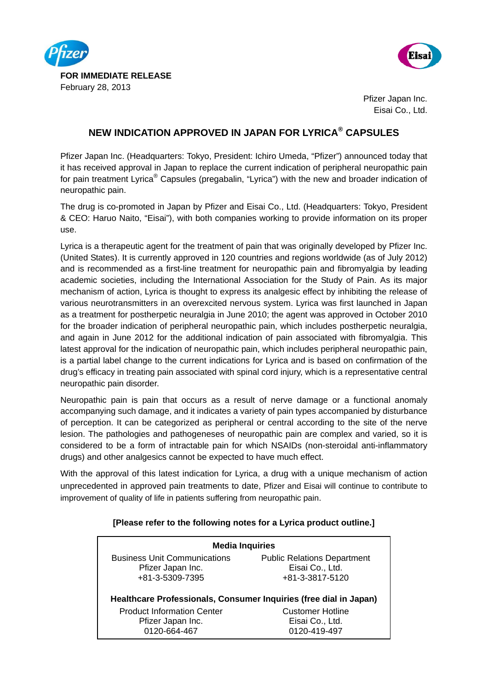



 Pfizer Japan Inc. Eisai Co., Ltd.

## **NEW INDICATION APPROVED IN JAPAN FOR LYRICA® CAPSULES**

Pfizer Japan Inc. (Headquarters: Tokyo, President: Ichiro Umeda, "Pfizer") announced today that it has received approval in Japan to replace the current indication of peripheral neuropathic pain for pain treatment Lyrica® Capsules (pregabalin, "Lyrica") with the new and broader indication of neuropathic pain.

The drug is co-promoted in Japan by Pfizer and Eisai Co., Ltd. (Headquarters: Tokyo, President & CEO: Haruo Naito, "Eisai"), with both companies working to provide information on its proper use.

Lyrica is a therapeutic agent for the treatment of pain that was originally developed by Pfizer Inc. (United States). It is currently approved in 120 countries and regions worldwide (as of July 2012) and is recommended as a first-line treatment for neuropathic pain and fibromyalgia by leading academic societies, including the International Association for the Study of Pain. As its major mechanism of action, Lyrica is thought to express its analgesic effect by inhibiting the release of various neurotransmitters in an overexcited nervous system. Lyrica was first launched in Japan as a treatment for postherpetic neuralgia in June 2010; the agent was approved in October 2010 for the broader indication of peripheral neuropathic pain, which includes postherpetic neuralgia, and again in June 2012 for the additional indication of pain associated with fibromyalgia. This latest approval for the indication of neuropathic pain, which includes peripheral neuropathic pain, is a partial label change to the current indications for Lyrica and is based on confirmation of the drug's efficacy in treating pain associated with spinal cord injury, which is a representative central neuropathic pain disorder.

Neuropathic pain is pain that occurs as a result of nerve damage or a functional anomaly accompanying such damage, and it indicates a variety of pain types accompanied by disturbance of perception. It can be categorized as peripheral or central according to the site of the nerve lesion. The pathologies and pathogeneses of neuropathic pain are complex and varied, so it is considered to be a form of intractable pain for which NSAIDs (non-steroidal anti-inflammatory drugs) and other analgesics cannot be expected to have much effect.

With the approval of this latest indication for Lyrica, a drug with a unique mechanism of action unprecedented in approved pain treatments to date, Pfizer and Eisai will continue to contribute to improvement of quality of life in patients suffering from neuropathic pain.

## **[Please refer to the following notes for a Lyrica product outline.]**

| <b>Media Inquiries</b>                                            |                                    |
|-------------------------------------------------------------------|------------------------------------|
| <b>Business Unit Communications</b>                               | <b>Public Relations Department</b> |
| Pfizer Japan Inc.                                                 | Eisai Co., Ltd.                    |
| +81-3-5309-7395                                                   | +81-3-3817-5120                    |
| Healthcare Professionals, Consumer Inquiries (free dial in Japan) |                                    |
| <b>Product Information Center</b>                                 | <b>Customer Hotline</b>            |
| Pfizer Japan Inc.                                                 | Eisai Co., Ltd.                    |

0120-419-497

0120-664-467